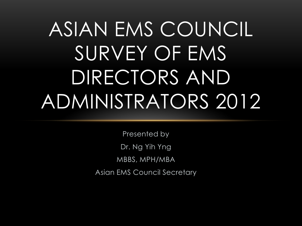# ASIAN EMS COUNCIL SURVEY OF EMS DIRECTORS AND ADMINISTRATORS 2012

Presented by Dr. Ng Yih Yng MBBS, MPH/MBA Asian EMS Council Secretary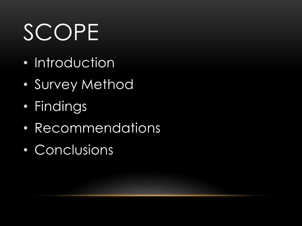# SCOPE

- Introduction
- Survey Method
- Findings
- Recommendations
- Conclusions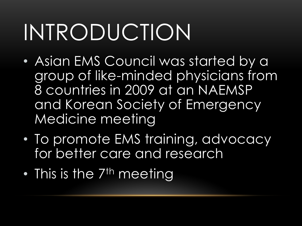# INTRODUCTION

- Asian EMS Council was started by a group of like-minded physicians from 8 countries in 2009 at an NAEMSP and Korean Society of Emergency Medicine meeting
- To promote EMS training, advocacy for better care and research
- $\bullet$  This is the  $7<sup>th</sup>$  meeting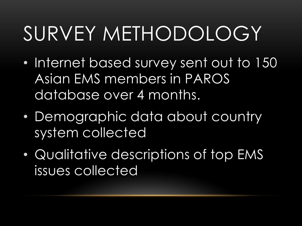## SURVEY METHODOLOGY

- Internet based survey sent out to 150 Asian EMS members in PAROS database over 4 months.
- Demographic data about country system collected
- Qualitative descriptions of top EMS issues collected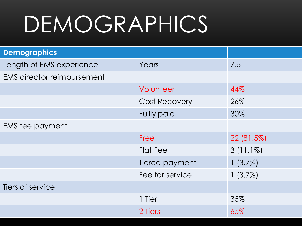# DEMOGRAPHICS<sup>®</sup>

| <b>Demographics</b>               |                      |             |
|-----------------------------------|----------------------|-------------|
| Length of EMS experience          | Years                | 7.5         |
| <b>EMS director reimbursement</b> |                      |             |
|                                   | Volunteer            | 44%         |
|                                   | <b>Cost Recovery</b> | 26%         |
|                                   | <b>Fullly paid</b>   | 30%         |
| EMS fee payment                   |                      |             |
|                                   | Free                 | 22 (81.5%)  |
|                                   | <b>Flat Fee</b>      | $3(11.1\%)$ |
|                                   | Tiered payment       | $1(3.7\%)$  |
|                                   | Fee for service      | $1(3.7\%)$  |
| Tiers of service                  |                      |             |
|                                   | 1 Tier               | 35%         |
|                                   | 2 Tiers              | 65%         |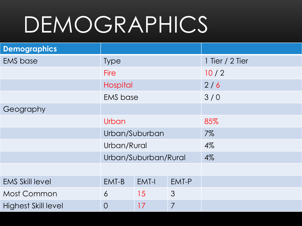# **DEMOGRAPHICS**

| <b>Demographics</b>        |                      |       |                |                 |
|----------------------------|----------------------|-------|----------------|-----------------|
| <b>EMS</b> base            | <b>Type</b>          |       |                | 1 Tier / 2 Tier |
|                            | <b>Fire</b>          |       |                | 10/2            |
|                            | Hospital             |       |                | 2/6             |
|                            | <b>EMS</b> base      |       |                | 3/0             |
| Geography                  |                      |       |                |                 |
|                            | Urban                |       |                | 85%             |
|                            | Urban/Suburban       |       |                | $7\%$           |
|                            | Urban/Rural          |       |                | $4\%$           |
|                            | Urban/Suburban/Rural |       |                | $4\%$           |
|                            |                      |       |                |                 |
| <b>EMS Skill level</b>     | EMT-B                | EMT-I | EMT-P          |                 |
| Most Common                | $\overline{6}$       | 15    | 3              |                 |
| <b>Highest Skill level</b> | $\overline{0}$       | 17    | $\overline{7}$ |                 |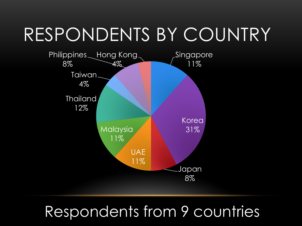#### RESPONDENTS BY COUNTRY



#### Respondents from 9 countries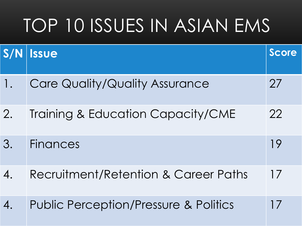### TOP 10 ISSUES IN ASIAN EMS

| S/N              | <b>Issue</b>                                     | <b>Score</b> |
|------------------|--------------------------------------------------|--------------|
| 1.               | Care Quality/Quality Assurance                   | 27           |
| 2.               | Training & Education Capacity/CME                | 22           |
| 3.               | <b>Finances</b>                                  | 19           |
| $\overline{4}$ . | Recruitment/Retention & Career Paths             | 17           |
|                  | <b>Public Perception/Pressure &amp; Politics</b> | 17           |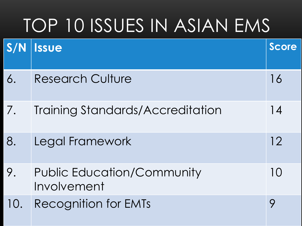### TOP 10 ISSUES IN ASIAN EMS

| S/N | <b>Issue</b>                                     | <b>Score</b> |
|-----|--------------------------------------------------|--------------|
| 6.  | <b>Research Culture</b>                          | 16           |
| 7.  | Training Standards/Accreditation                 | 14           |
| 8.  | Legal Framework                                  | 12           |
| 9.  | <b>Public Education/Community</b><br>Involvement | 10           |
| 10. | <b>Recognition for EMTs</b>                      | 9            |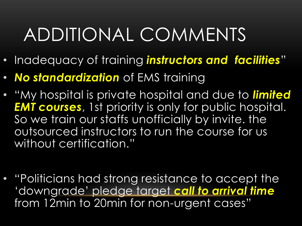- Inadequacy of training *instructors and facilities*"
- *No standardization* of EMS training
- "My hospital is private hospital and due to *limited EMT courses*, 1st priority is only for public hospital. So we train our staffs unofficially by invite. the outsourced instructors to run the course for us without certification."
- "Politicians had strong resistance to accept the 'downgrade' pledge target *call to arrival time*  from 12min to 20min for non-urgent cases"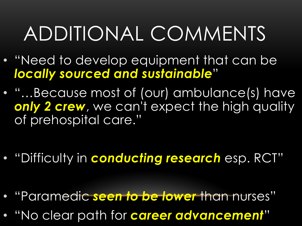- "Need to develop equipment that can be *locally sourced and sustainable*"
- "...Because most of (our) ambulance(s) have *only 2 crew*, we can't expect the high quality of prehospital care."

- "Difficulty in *conducting research* esp. RCT"
- "Paramedic *seen to be lower* than nurses"
- "No clear path for *career advancement*"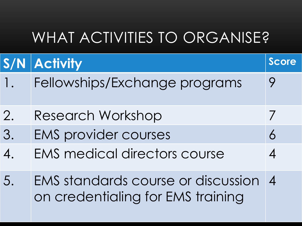#### WHAT ACTIVITIES TO ORGANISE?

|                          | <b>S/N Activity</b>                                                     | <b>Score</b>             |
|--------------------------|-------------------------------------------------------------------------|--------------------------|
|                          | Fellowships/Exchange programs                                           | 9                        |
| 2.                       | Research Workshop                                                       | $\overline{\phantom{a}}$ |
| 3.                       | <b>EMS provider courses</b>                                             | 6                        |
| $\boldsymbol{A}_{\cdot}$ | <b>EMS medical directors course</b>                                     | $\overline{4}$           |
| 5.                       | EMS standards course or discussion<br>on credentialing for EMS training | $\boldsymbol{A}$         |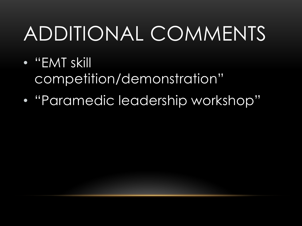- "EMT skill competition/demonstration"
- "Paramedic leadership workshop"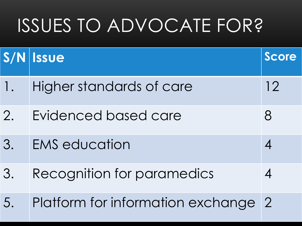### ISSUES TO ADVOCATE FOR?

|    | S/N Issue                           | Score |
|----|-------------------------------------|-------|
| 1. | Higher standards of care            | 12    |
| 2. | Evidenced based care                | 8     |
| 3. | <b>EMS</b> education                |       |
| 3. | Recognition for paramedics          |       |
| 5. | Platform for information exchange 2 |       |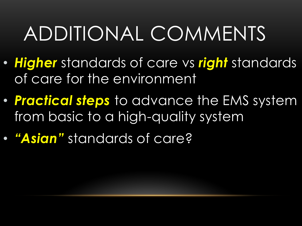- *Higher* standards of care vs *right* standards of care for the environment
- *Practical steps* to advance the EMS system from basic to a high-quality system
- *"Asian"* standards of care?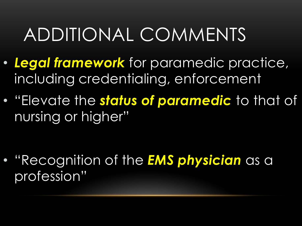- *Legal framework* for paramedic practice, including credentialing, enforcement
- "Elevate the *status of paramedic* to that of nursing or higher"

• "Recognition of the *EMS physician* as a profession"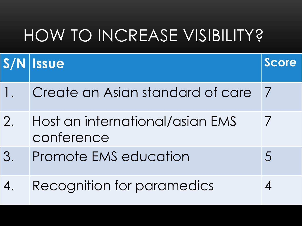#### HOW TO INCREASE VISIBILITY?

|                | S/N Issue                                     | Score          |
|----------------|-----------------------------------------------|----------------|
| $\mathsf{l}$ . | Create an Asian standard of care              |                |
| 2.             | Host an international/asian EMS<br>conference |                |
| 3.             | Promote EMS education                         | $\overline{5}$ |
| 4.             | Recognition for paramedics                    |                |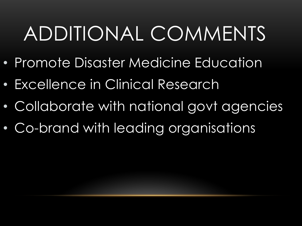- Promote Disaster Medicine Education
- Excellence in Clinical Research
- Collaborate with national govt agencies
- Co-brand with leading organisations